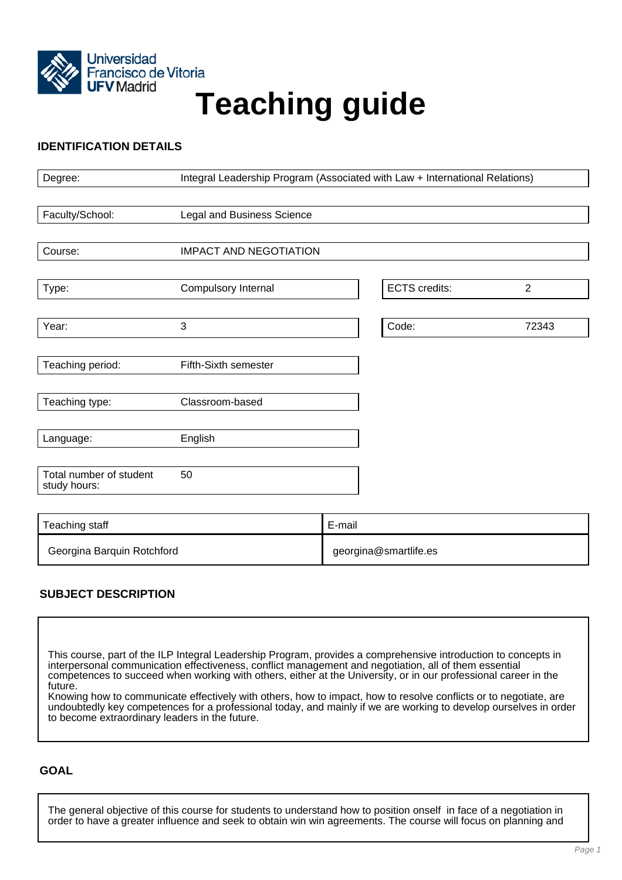

# Francisco de Vitoria<br>UFV Madrid<br>
Teaching guide

# **IDENTIFICATION DETAILS**

| Degree:                                 | Integral Leadership Program (Associated with Law + International Relations) |                       |                      |                |
|-----------------------------------------|-----------------------------------------------------------------------------|-----------------------|----------------------|----------------|
|                                         |                                                                             |                       |                      |                |
| Faculty/School:                         | <b>Legal and Business Science</b>                                           |                       |                      |                |
|                                         |                                                                             |                       |                      |                |
| Course:                                 | <b>IMPACT AND NEGOTIATION</b>                                               |                       |                      |                |
|                                         |                                                                             |                       |                      |                |
| Type:                                   | Compulsory Internal                                                         |                       | <b>ECTS</b> credits: | $\overline{2}$ |
|                                         |                                                                             |                       |                      |                |
| Year:                                   | 3                                                                           |                       | Code:                | 72343          |
|                                         |                                                                             |                       |                      |                |
| Teaching period:                        | Fifth-Sixth semester                                                        |                       |                      |                |
|                                         |                                                                             |                       |                      |                |
| Teaching type:                          | Classroom-based                                                             |                       |                      |                |
|                                         |                                                                             |                       |                      |                |
| Language:                               | English                                                                     |                       |                      |                |
|                                         |                                                                             |                       |                      |                |
| Total number of student<br>study hours: | 50                                                                          |                       |                      |                |
|                                         |                                                                             |                       |                      |                |
|                                         |                                                                             |                       |                      |                |
| Teaching staff                          |                                                                             | E-mail                |                      |                |
| Georgina Barquin Rotchford              |                                                                             | georgina@smartlife.es |                      |                |

# **SUBJECT DESCRIPTION**

This course, part of the ILP Integral Leadership Program, provides a comprehensive introduction to concepts in interpersonal communication effectiveness, conflict management and negotiation, all of them essential competences to succeed when working with others, either at the University, or in our professional career in the future.

Knowing how to communicate effectively with others, how to impact, how to resolve conflicts or to negotiate, are undoubtedly key competences for a professional today, and mainly if we are working to develop ourselves in order to become extraordinary leaders in the future.

## **GOAL**

The general objective of this course for students to understand how to position onself in face of a negotiation in order to have a greater influence and seek to obtain win win agreements. The course will focus on planning and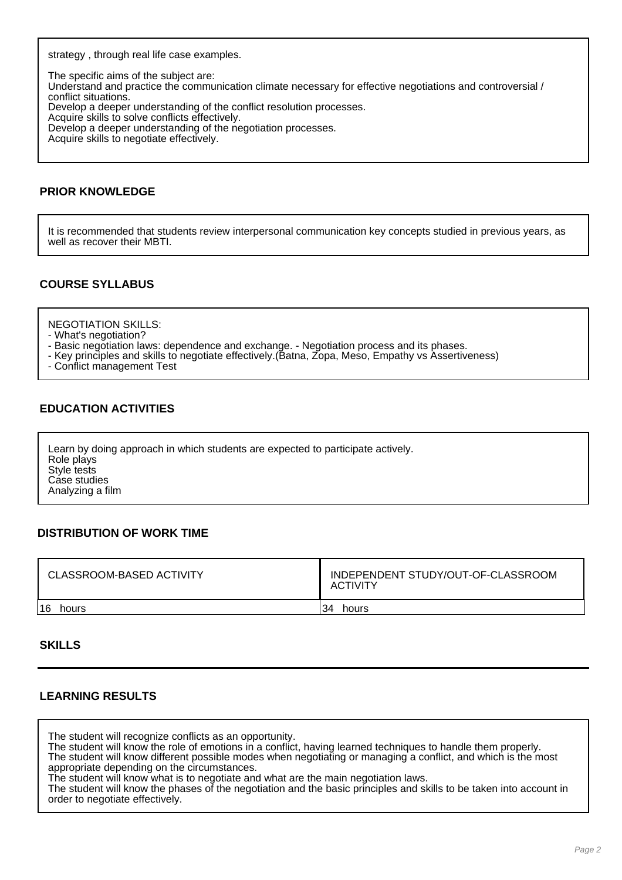strategy , through real life case examples.

The specific aims of the subject are: Understand and practice the communication climate necessary for effective negotiations and controversial / conflict situations. Develop a deeper understanding of the conflict resolution processes. Acquire skills to solve conflicts effectively. Develop a deeper understanding of the negotiation processes. Acquire skills to negotiate effectively.

### **PRIOR KNOWLEDGE**

It is recommended that students review interpersonal communication key concepts studied in previous years, as well as recover their MBTI.

## **COURSE SYLLABUS**

NEGOTIATION SKILLS:

- What's negotiation?
- Basic negotiation laws: dependence and exchange. Negotiation process and its phases.
- Key principles and skills to negotiate effectively.(Batna, Zopa, Meso, Empathy vs Assertiveness)
- Conflict management Test

### **EDUCATION ACTIVITIES**

Learn by doing approach in which students are expected to participate actively. Role plays Style tests Case studies Analyzing a film

### **DISTRIBUTION OF WORK TIME**

| <b>CLASSROOM-BASED ACTIVITY</b> | INDEPENDENT STUDY/OUT-OF-CLASSROOM<br><b>ACTIVITY</b> |  |
|---------------------------------|-------------------------------------------------------|--|
| 16                              | 34                                                    |  |
| hours                           | hours                                                 |  |

### **SKILLS**

### **LEARNING RESULTS**

The student will recognize conflicts as an opportunity.

The student will know the role of emotions in a conflict, having learned techniques to handle them properly. The student will know different possible modes when negotiating or managing a conflict, and which is the most

appropriate depending on the circumstances.

The student will know what is to negotiate and what are the main negotiation laws.

The student will know the phases of the negotiation and the basic principles and skills to be taken into account in order to negotiate effectively.